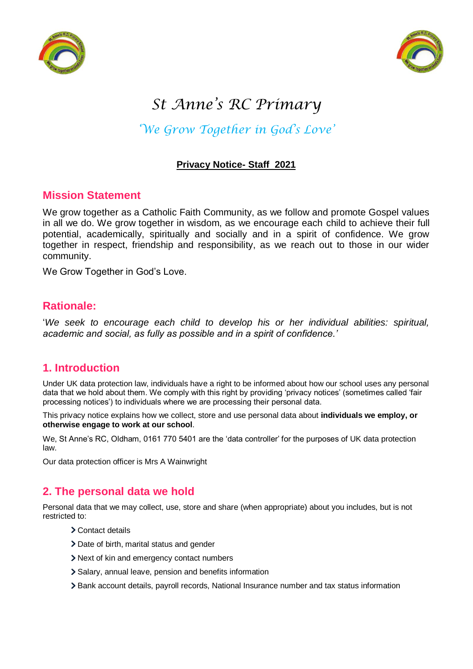



# *St Anne's RC Primary*

## *'We Grow Together in God's Love'*

## **Privacy Notice- Staff 2021**

## **Mission Statement**

We grow together as a Catholic Faith Community, as we follow and promote Gospel values in all we do. We grow together in wisdom, as we encourage each child to achieve their full potential, academically, spiritually and socially and in a spirit of confidence. We grow together in respect, friendship and responsibility, as we reach out to those in our wider community.

We Grow Together in God's Love.

## **Rationale:**

'*We seek to encourage each child to develop his or her individual abilities: spiritual, academic and social, as fully as possible and in a spirit of confidence.'*

## **1. Introduction**

Under UK data protection law, individuals have a right to be informed about how our school uses any personal data that we hold about them. We comply with this right by providing 'privacy notices' (sometimes called 'fair processing notices') to individuals where we are processing their personal data.

This privacy notice explains how we collect, store and use personal data about **individuals we employ, or otherwise engage to work at our school**.

We, St Anne's RC, Oldham, 0161 770 5401 are the 'data controller' for the purposes of UK data protection law.

Our data protection officer is Mrs A Wainwright

## **2. The personal data we hold**

Personal data that we may collect, use, store and share (when appropriate) about you includes, but is not restricted to:

- Contact details
- Date of birth, marital status and gender
- Next of kin and emergency contact numbers
- > Salary, annual leave, pension and benefits information
- Bank account details, payroll records, National Insurance number and tax status information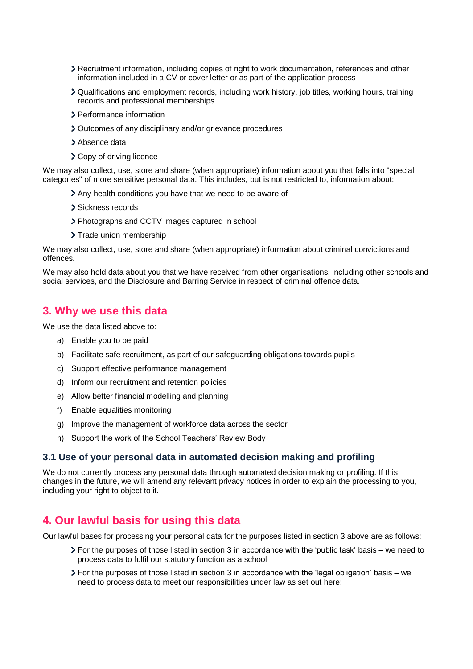- Recruitment information, including copies of right to work documentation, references and other information included in a CV or cover letter or as part of the application process
- Qualifications and employment records, including work history, job titles, working hours, training records and professional memberships
- > Performance information
- Outcomes of any disciplinary and/or grievance procedures
- > Absence data
- > Copy of driving licence

We may also collect, use, store and share (when appropriate) information about you that falls into "special categories" of more sensitive personal data. This includes, but is not restricted to, information about:

- Any health conditions you have that we need to be aware of
- > Sickness records
- Photographs and CCTV images captured in school
- > Trade union membership

We may also collect, use, store and share (when appropriate) information about criminal convictions and offences.

We may also hold data about you that we have received from other organisations, including other schools and social services, and the Disclosure and Barring Service in respect of criminal offence data.

#### **3. Why we use this data**

We use the data listed above to:

- a) Enable you to be paid
- b) Facilitate safe recruitment, as part of our safeguarding obligations towards pupils
- c) Support effective performance management
- d) Inform our recruitment and retention policies
- e) Allow better financial modelling and planning
- f) Enable equalities monitoring
- g) Improve the management of workforce data across the sector
- h) Support the work of the School Teachers' Review Body

#### **3.1 Use of your personal data in automated decision making and profiling**

We do not currently process any personal data through automated decision making or profiling. If this changes in the future, we will amend any relevant privacy notices in order to explain the processing to you, including your right to object to it.

#### **4. Our lawful basis for using this data**

Our lawful bases for processing your personal data for the purposes listed in section 3 above are as follows:

- For the purposes of those listed in section 3 in accordance with the 'public task' basis we need to process data to fulfil our statutory function as a school
- $\ge$  For the purposes of those listed in section 3 in accordance with the 'legal obligation' basis we need to process data to meet our responsibilities under law as set out here: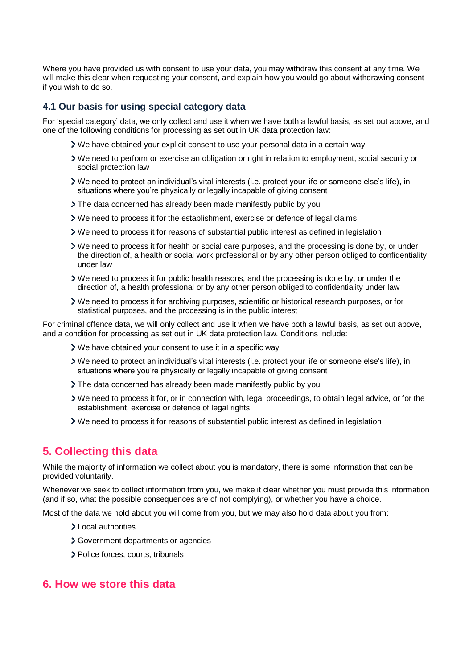Where you have provided us with consent to use your data, you may withdraw this consent at any time. We will make this clear when requesting your consent, and explain how you would go about withdrawing consent if you wish to do so.

#### **4.1 Our basis for using special category data**

For 'special category' data, we only collect and use it when we have both a lawful basis, as set out above, and one of the following conditions for processing as set out in UK data protection law:

- We have obtained your explicit consent to use your personal data in a certain way
- We need to perform or exercise an obligation or right in relation to employment, social security or social protection law
- We need to protect an individual's vital interests (i.e. protect your life or someone else's life), in situations where you're physically or legally incapable of giving consent
- The data concerned has already been made manifestly public by you
- We need to process it for the establishment, exercise or defence of legal claims
- We need to process it for reasons of substantial public interest as defined in legislation
- We need to process it for health or social care purposes, and the processing is done by, or under the direction of, a health or social work professional or by any other person obliged to confidentiality under law
- We need to process it for public health reasons, and the processing is done by, or under the direction of, a health professional or by any other person obliged to confidentiality under law
- We need to process it for archiving purposes, scientific or historical research purposes, or for statistical purposes, and the processing is in the public interest

For criminal offence data, we will only collect and use it when we have both a lawful basis, as set out above, and a condition for processing as set out in UK data protection law. Conditions include:

- We have obtained your consent to use it in a specific way
- We need to protect an individual's vital interests (i.e. protect your life or someone else's life), in situations where you're physically or legally incapable of giving consent
- The data concerned has already been made manifestly public by you
- We need to process it for, or in connection with, legal proceedings, to obtain legal advice, or for the establishment, exercise or defence of legal rights
- We need to process it for reasons of substantial public interest as defined in legislation

## **5. Collecting this data**

While the majority of information we collect about you is mandatory, there is some information that can be provided voluntarily.

Whenever we seek to collect information from you, we make it clear whether you must provide this information (and if so, what the possible consequences are of not complying), or whether you have a choice.

Most of the data we hold about you will come from you, but we may also hold data about you from:

- Local authorities
- Government departments or agencies
- > Police forces, courts, tribunals

#### **6. How we store this data**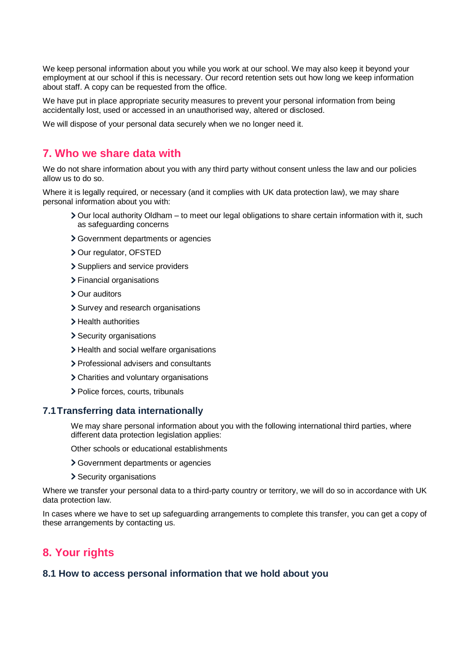We keep personal information about you while you work at our school. We may also keep it beyond your employment at our school if this is necessary. Our record retention sets out how long we keep information about staff. A copy can be requested from the office.

We have put in place appropriate security measures to prevent your personal information from being accidentally lost, used or accessed in an unauthorised way, altered or disclosed.

We will dispose of your personal data securely when we no longer need it.

## **7. Who we share data with**

We do not share information about you with any third party without consent unless the law and our policies allow us to do so.

Where it is legally required, or necessary (and it complies with UK data protection law), we may share personal information about you with:

- Our local authority Oldham to meet our legal obligations to share certain information with it, such as safeguarding concerns
- Government departments or agencies
- > Our regulator, OFSTED
- > Suppliers and service providers
- > Financial organisations
- > Our auditors
- > Survey and research organisations
- > Health authorities
- > Security organisations
- > Health and social welfare organisations
- > Professional advisers and consultants
- Charities and voluntary organisations
- > Police forces, courts, tribunals

#### **7.1Transferring data internationally**

We may share personal information about you with the following international third parties, where different data protection legislation applies:

Other schools or educational establishments

- Government departments or agencies
- > Security organisations

Where we transfer your personal data to a third-party country or territory, we will do so in accordance with UK data protection law.

In cases where we have to set up safeguarding arrangements to complete this transfer, you can get a copy of these arrangements by contacting us.

## **8. Your rights**

#### **8.1 How to access personal information that we hold about you**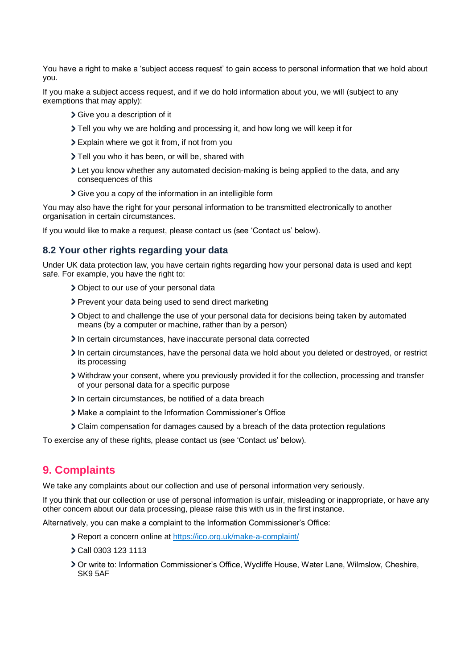You have a right to make a 'subject access request' to gain access to personal information that we hold about you.

If you make a subject access request, and if we do hold information about you, we will (subject to any exemptions that may apply):

- Give you a description of it
- Tell you why we are holding and processing it, and how long we will keep it for
- Explain where we got it from, if not from you
- Tell you who it has been, or will be, shared with
- Let you know whether any automated decision-making is being applied to the data, and any consequences of this
- Give you a copy of the information in an intelligible form

You may also have the right for your personal information to be transmitted electronically to another organisation in certain circumstances.

If you would like to make a request, please contact us (see 'Contact us' below).

#### **8.2 Your other rights regarding your data**

Under UK data protection law, you have certain rights regarding how your personal data is used and kept safe. For example, you have the right to:

- Object to our use of your personal data
- > Prevent your data being used to send direct marketing
- Object to and challenge the use of your personal data for decisions being taken by automated means (by a computer or machine, rather than by a person)
- In certain circumstances, have inaccurate personal data corrected
- In certain circumstances, have the personal data we hold about you deleted or destroyed, or restrict its processing
- Withdraw your consent, where you previously provided it for the collection, processing and transfer of your personal data for a specific purpose
- In certain circumstances, be notified of a data breach
- Make a complaint to the Information Commissioner's Office
- Claim compensation for damages caused by a breach of the data protection regulations

To exercise any of these rights, please contact us (see 'Contact us' below).

#### **9. Complaints**

We take any complaints about our collection and use of personal information very seriously.

If you think that our collection or use of personal information is unfair, misleading or inappropriate, or have any other concern about our data processing, please raise this with us in the first instance.

Alternatively, you can make a complaint to the Information Commissioner's Office:

- Report a concern online at<https://ico.org.uk/make-a-complaint/>
- Call 0303 123 1113
- Or write to: Information Commissioner's Office, Wycliffe House, Water Lane, Wilmslow, Cheshire, SK9 5AF